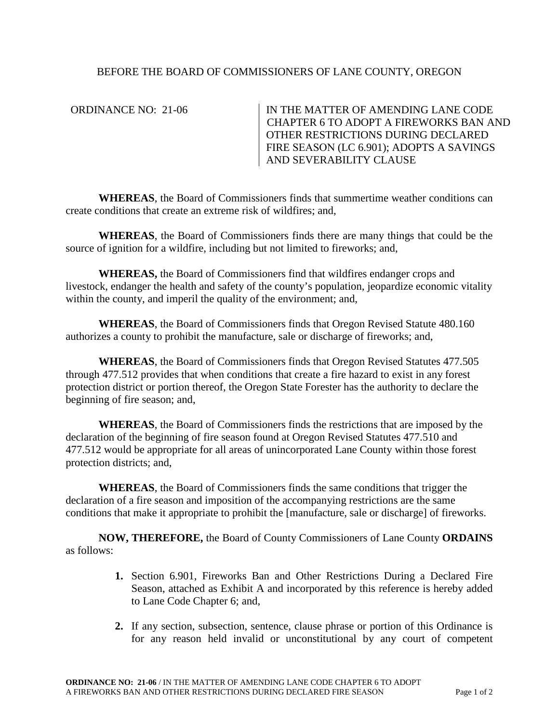# BEFORE THE BOARD OF COMMISSIONERS OF LANE COUNTY, OREGON

ORDINANCE NO: 21-06 IN THE MATTER OF AMENDING LANE CODE CHAPTER 6 TO ADOPT A FIREWORKS BAN AND OTHER RESTRICTIONS DURING DECLARED FIRE SEASON (LC 6.901); ADOPTS A SAVINGS AND SEVERABILITY CLAUSE

**WHEREAS**, the Board of Commissioners finds that summertime weather conditions can create conditions that create an extreme risk of wildfires; and,

**WHEREAS**, the Board of Commissioners finds there are many things that could be the source of ignition for a wildfire, including but not limited to fireworks; and,

**WHEREAS,** the Board of Commissioners find that wildfires endanger crops and livestock, endanger the health and safety of the county's population, jeopardize economic vitality within the county, and imperil the quality of the environment; and,

**WHEREAS**, the Board of Commissioners finds that Oregon Revised Statute 480.160 authorizes a county to prohibit the manufacture, sale or discharge of fireworks; and,

**WHEREAS**, the Board of Commissioners finds that Oregon Revised Statutes 477.505 through 477.512 provides that when conditions that create a fire hazard to exist in any forest protection district or portion thereof, the Oregon State Forester has the authority to declare the beginning of fire season; and,

**WHEREAS**, the Board of Commissioners finds the restrictions that are imposed by the declaration of the beginning of fire season found at Oregon Revised Statutes 477.510 and 477.512 would be appropriate for all areas of unincorporated Lane County within those forest protection districts; and,

**WHEREAS**, the Board of Commissioners finds the same conditions that trigger the declaration of a fire season and imposition of the accompanying restrictions are the same conditions that make it appropriate to prohibit the [manufacture, sale or discharge] of fireworks.

**NOW, THEREFORE,** the Board of County Commissioners of Lane County **ORDAINS** as follows:

- **1.** Section 6.901, Fireworks Ban and Other Restrictions During a Declared Fire Season, attached as Exhibit A and incorporated by this reference is hereby added to Lane Code Chapter 6; and,
- **2.** If any section, subsection, sentence, clause phrase or portion of this Ordinance is for any reason held invalid or unconstitutional by any court of competent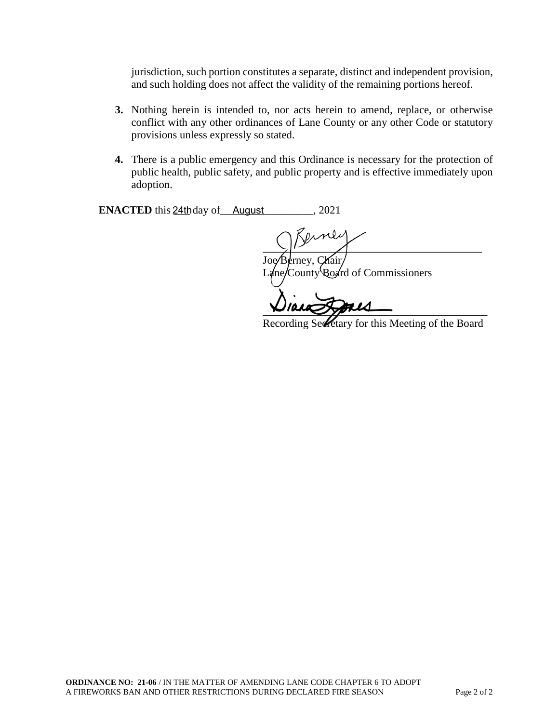jurisdiction, such portion constitutes a separate, distinct and independent provision, and such holding does not affect the validity of the remaining portions hereof.

- **3.** Nothing herein is intended to, nor acts herein to amend, replace, or otherwise conflict with any other ordinances of Lane County or any other Code or statutory provisions unless expressly so stated.
- **4.** There is a public emergency and this Ordinance is necessary for the protection of public health, public safety, and public property and is effective immediately upon adoption.

**ENACTED** this  $24$ thday of  $\_\_$ August  $\_\_$ , 2021

 $\frac{1}{2}$   $\frac{1}{2}$   $\frac{1}{2}$   $\frac{1}{2}$   $\frac{1}{2}$   $\frac{1}{2}$   $\frac{1}{2}$   $\frac{1}{2}$   $\frac{1}{2}$   $\frac{1}{2}$   $\frac{1}{2}$   $\frac{1}{2}$   $\frac{1}{2}$   $\frac{1}{2}$   $\frac{1}{2}$   $\frac{1}{2}$   $\frac{1}{2}$   $\frac{1}{2}$   $\frac{1}{2}$   $\frac{1}{2}$   $\frac{1}{2}$   $\frac{1}{2}$  rney, Chair County Board of Commissioners

\_\_\_\_\_\_\_\_\_\_\_\_\_\_\_\_\_\_\_\_\_\_\_\_\_\_\_\_\_\_\_\_\_\_\_\_\_\_\_\_\_

Recording Secretary for this Meeting of the Board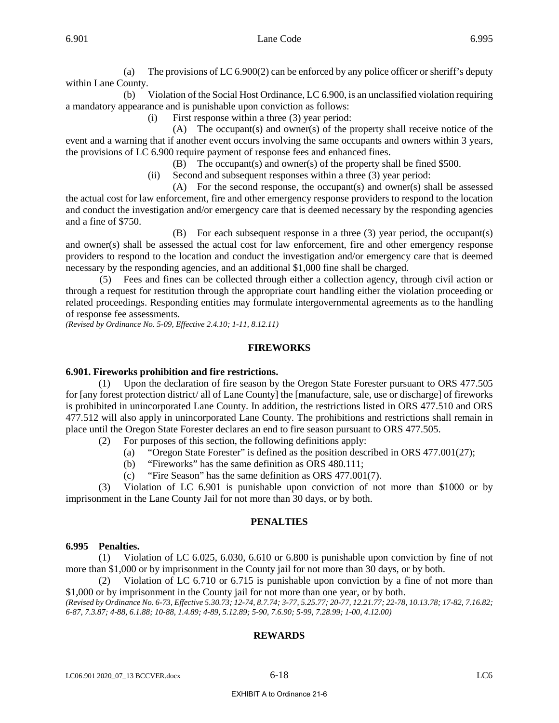(a) The provisions of LC 6.900(2) can be enforced by any police officer or sheriff's deputy within Lane County.

 (b) Violation of the Social Host Ordinance, LC 6.900, is an unclassified violation requiring a mandatory appearance and is punishable upon conviction as follows:

(i) First response within a three (3) year period:

 (A) The occupant(s) and owner(s) of the property shall receive notice of the event and a warning that if another event occurs involving the same occupants and owners within 3 years, the provisions of LC 6.900 require payment of response fees and enhanced fines.

(B) The occupant(s) and owner(s) of the property shall be fined \$500.

(ii) Second and subsequent responses within a three (3) year period:

 (A) For the second response, the occupant(s) and owner(s) shall be assessed the actual cost for law enforcement, fire and other emergency response providers to respond to the location and conduct the investigation and/or emergency care that is deemed necessary by the responding agencies and a fine of \$750.

 (B) For each subsequent response in a three (3) year period, the occupant(s) and owner(s) shall be assessed the actual cost for law enforcement, fire and other emergency response providers to respond to the location and conduct the investigation and/or emergency care that is deemed necessary by the responding agencies, and an additional \$1,000 fine shall be charged.

 (5) Fees and fines can be collected through either a collection agency, through civil action or through a request for restitution through the appropriate court handling either the violation proceeding or related proceedings. Responding entities may formulate intergovernmental agreements as to the handling of response fee assessments.

*(Revised by Ordinance No. 5-09, Effective 2.4.10; 1-11, 8.12.11)*

## **FIREWORKS**

## **6.901. Fireworks prohibition and fire restrictions.**

 (1) Upon the declaration of fire season by the Oregon State Forester pursuant to ORS 477.505 for [any forest protection district/ all of Lane County] the [manufacture, sale, use or discharge] of fireworks is prohibited in unincorporated Lane County. In addition, the restrictions listed in ORS 477.510 and ORS 477.512 will also apply in unincorporated Lane County. The prohibitions and restrictions shall remain in place until the Oregon State Forester declares an end to fire season pursuant to ORS 477.505.

- (2) For purposes of this section, the following definitions apply:
	- (a) "Oregon State Forester" is defined as the position described in ORS 477.001(27);
	- (b) "Fireworks" has the same definition as ORS 480.111;
	- (c) "Fire Season" has the same definition as ORS 477.001(7).

 (3) Violation of LC 6.901 is punishable upon conviction of not more than \$1000 or by imprisonment in the Lane County Jail for not more than 30 days, or by both.

## **PENALTIES**

### **6.995 Penalties.**

(1) Violation of LC 6.025, 6.030, 6.610 or 6.800 is punishable upon conviction by fine of not more than \$1,000 or by imprisonment in the County jail for not more than 30 days, or by both.

 (2) Violation of LC 6.710 or 6.715 is punishable upon conviction by a fine of not more than \$1,000 or by imprisonment in the County jail for not more than one year, or by both.

*(Revised by Ordinance No. 6-73, Effective 5.30.73; 12-74, 8.7.74; 3-77, 5.25.77; 20-77, 12.21.77; 22-78, 10.13.78; 17-82, 7.16.82; 6-87, 7.3.87; 4-88, 6.1.88; 10-88, 1.4.89; 4-89, 5.12.89; 5-90, 7.6.90; 5-99, 7.28.99; 1-00, 4.12.00)*

# **REWARDS**